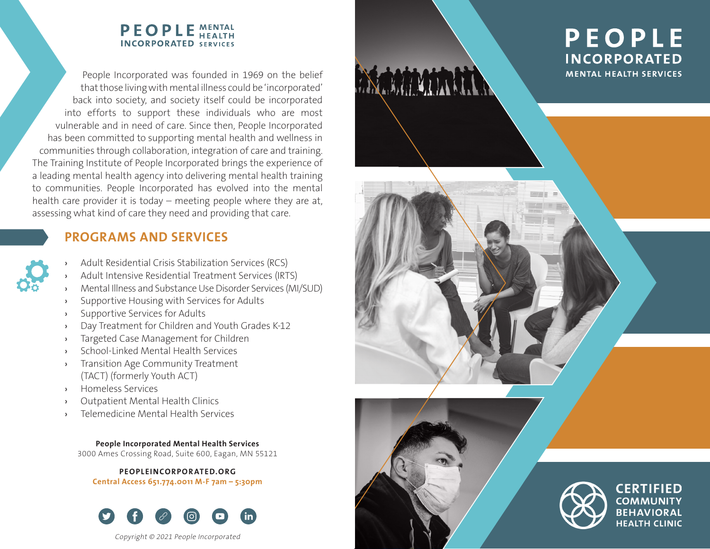### **PEOPLE MENTAL INCORPORATED SERVICES**

People Incorporated was founded in 1969 on the belief that those living with mental illness could be 'incorporated' back into society, and society itself could be incorporated into efforts to support these individuals who are most vulnerable and in need of care. Since then, People Incorporated has been committed to supporting mental health and wellness in communities through collaboration, integration of care and training. The Training Institute of People Incorporated brings the experience of a leading mental health agency into delivering mental health training to communities. People Incorporated has evolved into the mental health care provider it is today – meeting people where they are at, assessing what kind of care they need and providing that care.

## **PROGRAMS AND SERVICES**

- Adult Residential Crisis Stabilization Services (RCS)
- Adult Intensive Residential Treatment Services (IRTS)
- › Mental Illness and Substance Use Disorder Services (MI/SUD)
- Supportive Housing with Services for Adults
- Supportive Services for Adults
- Day Treatment for Children and Youth Grades K-12
- Targeted Case Management for Children
- School-Linked Mental Health Services
- Transition Age Community Treatment (TACT) (formerly Youth ACT)
- › Homeless Services
- Outpatient Mental Health Clinics
- Telemedicine Mental Health Services

**People Incorporated Mental Health Services** 3000 Ames Crossing Road, Suite 600, Eagan, MN 55121

**PEOPLEINCORPORATED.ORG Central Access 651.774.0011 M-F 7am – 5:30pm**



Copyright © 2021 People Incorporated

# **PEOPLE INCORPORATED MENTAL HEALTH SERVICES**



CERTIFIED **COMMUNITY BEHAVIORAL HEALTH CLINIC**